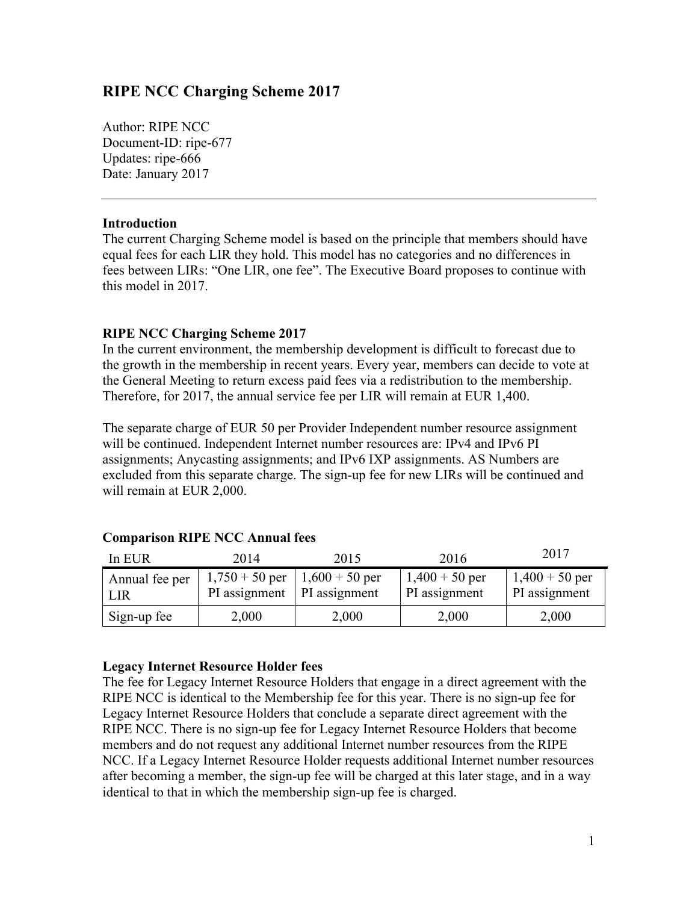## **RIPE NCC Charging Scheme 2017**

Author: RIPE NCC Document-ID: ripe-677 Updates: ripe-666 Date: January 2017

## **Introduction**

The current Charging Scheme model is based on the principle that members should have equal fees for each LIR they hold. This model has no categories and no differences in fees between LIRs: "One LIR, one fee". The Executive Board proposes to continue with this model in 2017.

## **RIPE NCC Charging Scheme 2017**

In the current environment, the membership development is difficult to forecast due to the growth in the membership in recent years. Every year, members can decide to vote at the General Meeting to return excess paid fees via a redistribution to the membership. Therefore, for 2017, the annual service fee per LIR will remain at EUR 1,400.

The separate charge of EUR 50 per Provider Independent number resource assignment will be continued. Independent Internet number resources are: IPv4 and IPv6 PI assignments; Anycasting assignments; and IPv6 IXP assignments. AS Numbers are excluded from this separate charge. The sign-up fee for new LIRs will be continued and will remain at EUR 2,000.

| In EUR                | 2014                                                               | 2015  | 2016                              | 2017                              |
|-----------------------|--------------------------------------------------------------------|-------|-----------------------------------|-----------------------------------|
| Annual fee per<br>LIR | $1,750 + 50$ per   1,600 + 50 per<br>PI assignment   PI assignment |       | $1,400 + 50$ per<br>PI assignment | $1,400 + 50$ per<br>PI assignment |
| Sign-up fee           | 2,000                                                              | 2,000 | 2,000                             | 2,000                             |

#### **Comparison RIPE NCC Annual fees**

#### **Legacy Internet Resource Holder fees**

The fee for Legacy Internet Resource Holders that engage in a direct agreement with the RIPE NCC is identical to the Membership fee for this year. There is no sign-up fee for Legacy Internet Resource Holders that conclude a separate direct agreement with the RIPE NCC. There is no sign-up fee for Legacy Internet Resource Holders that become members and do not request any additional Internet number resources from the RIPE NCC. If a Legacy Internet Resource Holder requests additional Internet number resources after becoming a member, the sign-up fee will be charged at this later stage, and in a way identical to that in which the membership sign-up fee is charged.